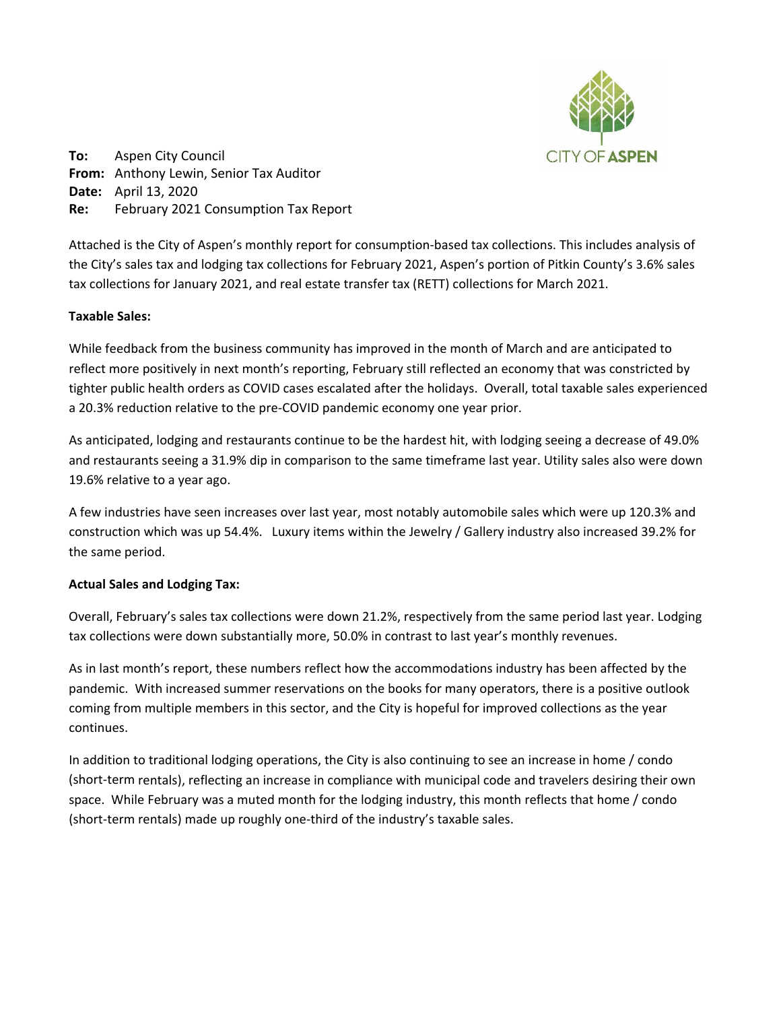

**To:** Aspen City Council **From:** Anthony Lewin, Senior Tax Auditor **Date:** April 13, 2020 **Re:** February 2021 Consumption Tax Report

Attached is the City of Aspen's monthly report for consumption‐based tax collections. This includes analysis of the City's sales tax and lodging tax collections for February 2021, Aspen's portion of Pitkin County's 3.6% sales tax collections for January 2021, and real estate transfer tax (RETT) collections for March 2021.

# **Taxable Sales:**

While feedback from the business community has improved in the month of March and are anticipated to reflect more positively in next month's reporting, February still reflected an economy that was constricted by tighter public health orders as COVID cases escalated after the holidays. Overall, total taxable sales experienced a 20.3% reduction relative to the pre‐COVID pandemic economy one year prior.

As anticipated, lodging and restaurants continue to be the hardest hit, with lodging seeing a decrease of 49.0% and restaurants seeing a 31.9% dip in comparison to the same timeframe last year. Utility sales also were down 19.6% relative to a year ago.

A few industries have seen increases over last year, most notably automobile sales which were up 120.3% and construction which was up 54.4%. Luxury items within the Jewelry / Gallery industry also increased 39.2% for the same period.

# **Actual Sales and Lodging Tax:**

Overall, February's sales tax collections were down 21.2%, respectively from the same period last year. Lodging tax collections were down substantially more, 50.0% in contrast to last year's monthly revenues.

As in last month's report, these numbers reflect how the accommodations industry has been affected by the pandemic. With increased summer reservations on the books for many operators, there is a positive outlook coming from multiple members in this sector, and the City is hopeful for improved collections as the year continues.

In addition to traditional lodging operations, the City is also continuing to see an increase in home / condo (short-term rentals), reflecting an increase in compliance with municipal code and travelers desiring their own space. While February was a muted month for the lodging industry, this month reflects that home / condo (short-term rentals) made up roughly one-third of the industry's taxable sales.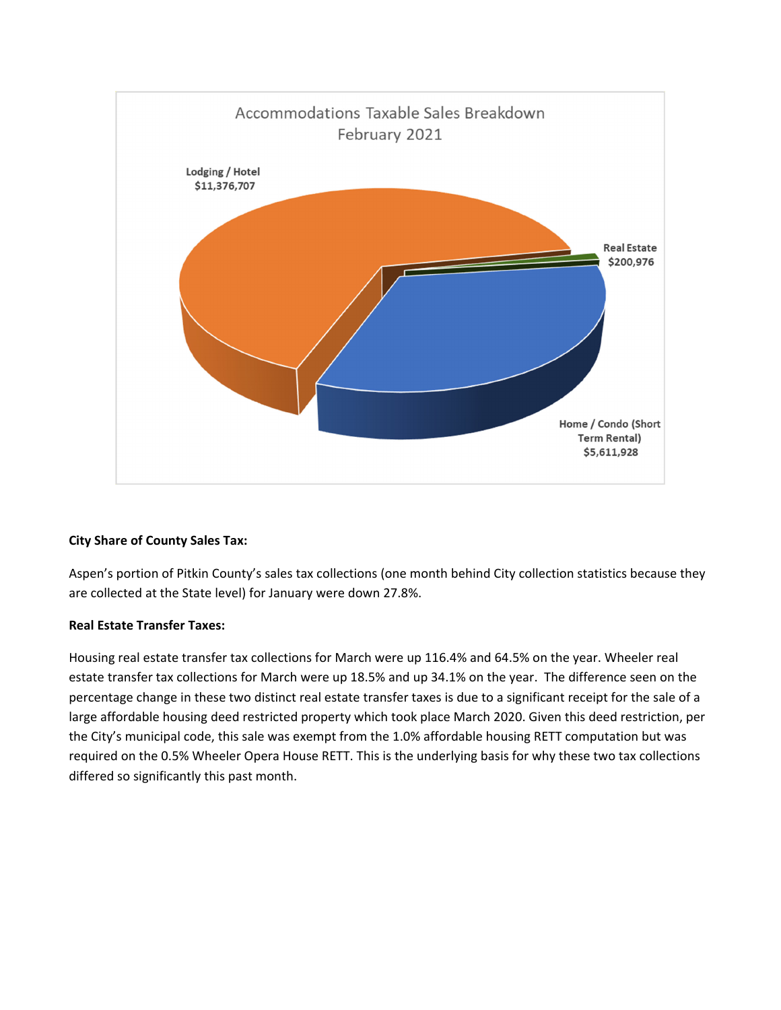

# **City Share of County Sales Tax:**

Aspen's portion of Pitkin County's sales tax collections (one month behind City collection statistics because they are collected at the State level) for January were down 27.8%.

# **Real Estate Transfer Taxes:**

Housing real estate transfer tax collections for March were up 116.4% and 64.5% on the year. Wheeler real estate transfer tax collections for March were up 18.5% and up 34.1% on the year. The difference seen on the percentage change in these two distinct real estate transfer taxes is due to a significant receipt for the sale of a large affordable housing deed restricted property which took place March 2020. Given this deed restriction, per the City's municipal code, this sale was exempt from the 1.0% affordable housing RETT computation but was required on the 0.5% Wheeler Opera House RETT. This is the underlying basis for why these two tax collections differed so significantly this past month.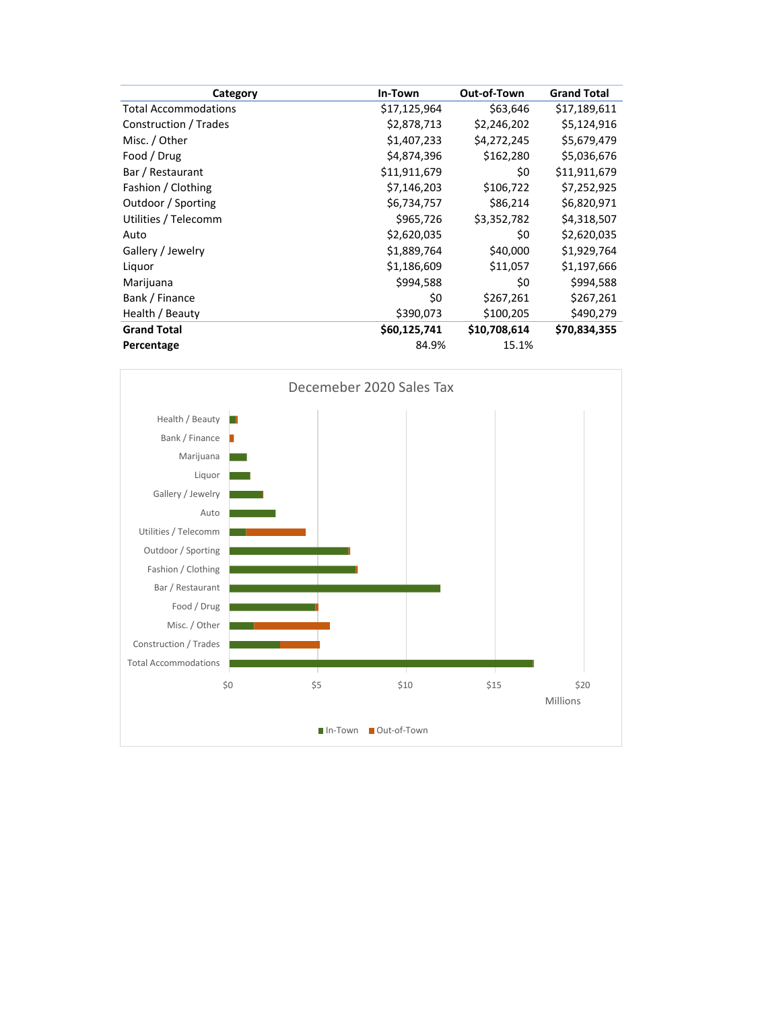| Category                    | In-Town      | Out-of-Town  | <b>Grand Total</b> |
|-----------------------------|--------------|--------------|--------------------|
| <b>Total Accommodations</b> | \$17,125,964 | \$63,646     | \$17,189,611       |
| Construction / Trades       | \$2,878,713  | \$2,246,202  | \$5,124,916        |
| Misc. / Other               | \$1,407,233  | \$4,272,245  | \$5,679,479        |
| Food / Drug                 | \$4,874,396  | \$162,280    | \$5,036,676        |
| Bar / Restaurant            | \$11,911,679 | \$0          | \$11,911,679       |
| Fashion / Clothing          | \$7,146,203  | \$106,722    | \$7,252,925        |
| Outdoor / Sporting          | \$6,734,757  | \$86,214     | \$6,820,971        |
| Utilities / Telecomm        | \$965,726    | \$3,352,782  | \$4,318,507        |
| Auto                        | \$2,620,035  | \$0          | \$2,620,035        |
| Gallery / Jewelry           | \$1,889,764  | \$40,000     | \$1,929,764        |
| Liquor                      | \$1,186,609  | \$11,057     | \$1,197,666        |
| Marijuana                   | \$994,588    | \$0          | \$994,588          |
| Bank / Finance              | \$0          | \$267,261    | \$267,261          |
| Health / Beauty             | \$390,073    | \$100,205    | \$490,279          |
| <b>Grand Total</b>          | \$60,125,741 | \$10,708,614 | \$70,834,355       |
| Percentage                  | 84.9%        | 15.1%        |                    |

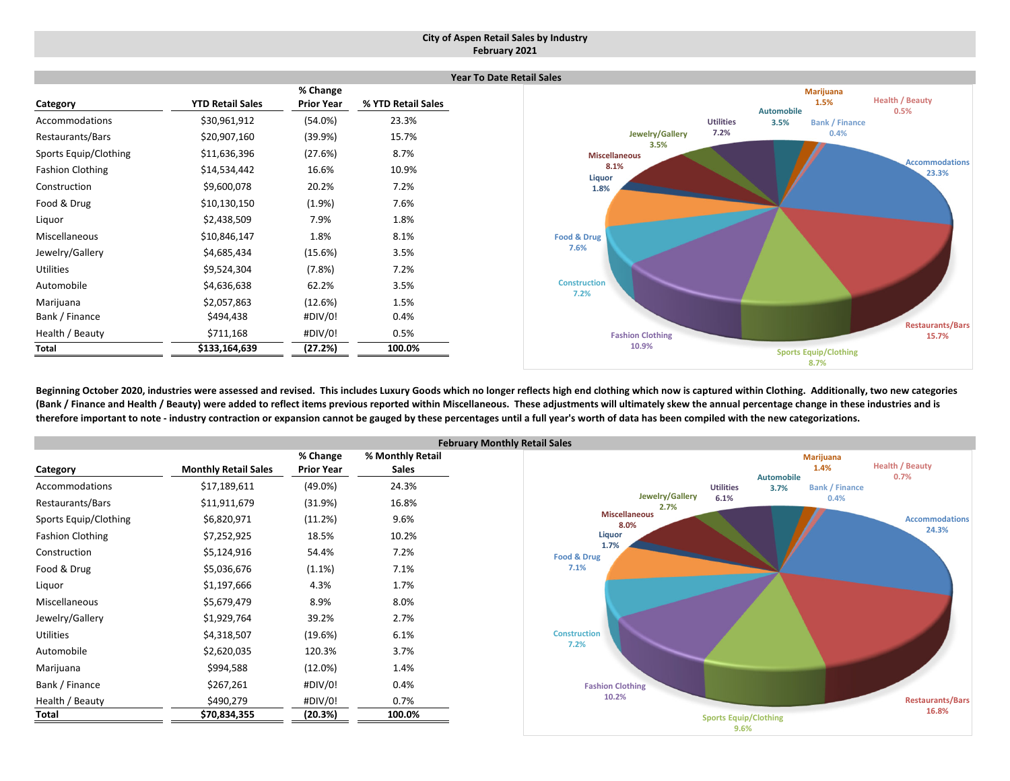#### **City of Aspen Retail Sales by Industry February 2021**

|                         |                         |                   |                    | Ye. |
|-------------------------|-------------------------|-------------------|--------------------|-----|
|                         |                         | % Change          |                    |     |
| Category                | <b>YTD Retail Sales</b> | <b>Prior Year</b> | % YTD Retail Sales |     |
| Accommodations          | \$30,961,912            | $(54.0\%)$        | 23.3%              |     |
| Restaurants/Bars        | \$20,907,160            | (39.9%)           | 15.7%              |     |
| Sports Equip/Clothing   | \$11,636,396            | (27.6%)           | 8.7%               |     |
| <b>Fashion Clothing</b> | \$14,534,442            | 16.6%             | 10.9%              |     |
| Construction            | \$9,600,078             | 20.2%             | 7.2%               |     |
| Food & Drug             | \$10,130,150            | $(1.9\%)$         | 7.6%               |     |
| Liquor                  | \$2,438,509             | 7.9%              | 1.8%               |     |
| Miscellaneous           | \$10,846,147            | 1.8%              | 8.1%               |     |
| Jewelry/Gallery         | \$4,685,434             | (15.6%)           | 3.5%               |     |
| <b>Utilities</b>        | \$9,524,304             | (7.8%)            | 7.2%               |     |
| Automobile              | \$4,636,638             | 62.2%             | 3.5%               |     |
| Marijuana               | \$2,057,863             | (12.6%)           | 1.5%               |     |
| Bank / Finance          | \$494,438               | #DIV/0!           | 0.4%               |     |
| Health / Beauty         | \$711,168               | #DIV/0!           | 0.5%               |     |
| Total                   | \$133,164,639           | (27.2%)           | 100.0%             |     |



Beginning October 2020, industries were assessed and revised. This includes Luxury Goods which no longer reflects high end clothing which now is captured within Clothing. Additionally, two new categories (Bank / Finance and Health / Beauty) were added to reflect items previous reported within Miscellaneous. These adjustments will ultimately skew the annual percentage change in these industries and is therefore important to note - industry contraction or expansion cannot be gauged by these percentages until a full year's worth of data has been compiled with the new categorizations.

|                         |                             |                   | Febr             |
|-------------------------|-----------------------------|-------------------|------------------|
|                         |                             | % Change          | % Monthly Retail |
| Category                | <b>Monthly Retail Sales</b> | <b>Prior Year</b> | <b>Sales</b>     |
| Accommodations          | \$17,189,611                | $(49.0\%)$        | 24.3%            |
| Restaurants/Bars        | \$11,911,679                | (31.9%)           | 16.8%            |
| Sports Equip/Clothing   | \$6,820,971                 | (11.2%)           | 9.6%             |
| <b>Fashion Clothing</b> | \$7,252,925                 | 18.5%             | 10.2%            |
| Construction            | \$5,124,916                 | 54.4%             | 7.2%             |
| Food & Drug             | \$5,036,676                 | $(1.1\%)$         | 7.1%             |
| Liquor                  | \$1,197,666                 | 4.3%              | 1.7%             |
| <b>Miscellaneous</b>    | \$5,679,479                 | 8.9%              | 8.0%             |
| Jewelry/Gallery         | \$1,929,764                 | 39.2%             | 2.7%             |
| <b>Utilities</b>        | \$4,318,507                 | (19.6%)           | 6.1%             |
| Automobile              | \$2,620,035                 | 120.3%            | 3.7%             |
| Marijuana               | \$994,588                   | $(12.0\%)$        | 1.4%             |
| Bank / Finance          | \$267,261                   | #DIV/0!           | 0.4%             |
| Health / Beauty         | \$490,279                   | #DIV/0!           | 0.7%             |
| Total                   | \$70,834,355                | (20.3%)           | 100.0%           |

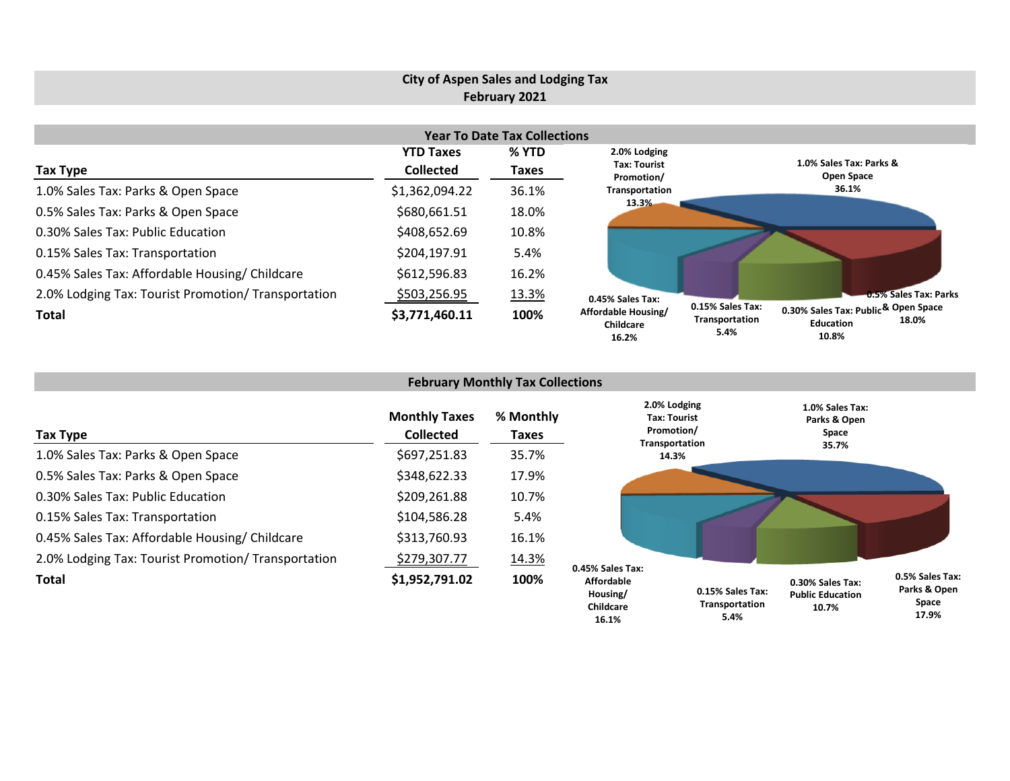#### **City of Aspen Sales and Lodging Tax February 2021 Year To Date Tax Collections Tax Type YTD Taxes Collected % YTD Taxes** 1.0% Sales Tax: Parks & Open Space \$1,362,094.22 36.1% 0.5% Sales Tax: Parks & Open Space \$680,661.51 18.0% 0.30% Sales Tax: Public Education \$408,652.69 10.8% 0.15% Sales Tax: Transportation  $5.4\%$ 0.45% Sales Tax: Affordable Housing/ Childcare  $$612,596.83$  16.2% 2.0% Lodging Tax: Tourist Promotion/ Transportation  $$503,256.95$  13.3% **Total \$3,771,460.11 100% 1.0% Sales Tax: Parks & Open Space 36.1%0.5% Sales Tax: Parks & Open Space 0.30% Sales Tax: Public 18.0% Education0.15% Sales Tax: Transportation 0.45% Sales Tax: Affordable Housing/ Childcare2.0% Lodging Tax: TouristPromotion/ Transportation 13.3%**

| <b>February Monthly Tax Collections</b>             |                                          |                           |                                            |                                                              |                                                      |                                          |  |  |  |
|-----------------------------------------------------|------------------------------------------|---------------------------|--------------------------------------------|--------------------------------------------------------------|------------------------------------------------------|------------------------------------------|--|--|--|
| <b>Tax Type</b>                                     | <b>Monthly Taxes</b><br><b>Collected</b> | % Monthly<br><b>Taxes</b> |                                            | 2.0% Lodging<br>Tax: Tourist<br>Promotion/<br>Transportation | 1.0% Sales Tax:<br>Parks & Open<br>Space             |                                          |  |  |  |
| 1.0% Sales Tax: Parks & Open Space                  | \$697,251.83                             | 35.7%                     |                                            | 14.3%                                                        | 35.7%                                                |                                          |  |  |  |
| 0.5% Sales Tax: Parks & Open Space                  | \$348,622.33                             | 17.9%                     |                                            |                                                              |                                                      |                                          |  |  |  |
| 0.30% Sales Tax: Public Education                   | \$209,261.88                             | 10.7%                     |                                            |                                                              |                                                      |                                          |  |  |  |
| 0.15% Sales Tax: Transportation                     | \$104,586.28                             | 5.4%                      |                                            |                                                              |                                                      |                                          |  |  |  |
| 0.45% Sales Tax: Affordable Housing/ Childcare      | \$313,760.93                             | 16.1%                     |                                            |                                                              |                                                      |                                          |  |  |  |
| 2.0% Lodging Tax: Tourist Promotion/ Transportation | \$279,307.77                             | 14.3%                     | 0.45% Sales Tax:                           |                                                              |                                                      |                                          |  |  |  |
| <b>Total</b>                                        | \$1,952,791.02                           | 100%                      | <b>Affordable</b><br>Housing/<br>Childcare | 0.15% Sales Tax:<br>Transportation                           | 0.30% Sales Tax:<br><b>Public Education</b><br>10.7% | 0.5% Sales Tax:<br>Parks & Open<br>Space |  |  |  |

**Space 17.9%**

**10.8%**

**5.4%**

**5.4%**

**16.1%**

**16.2%**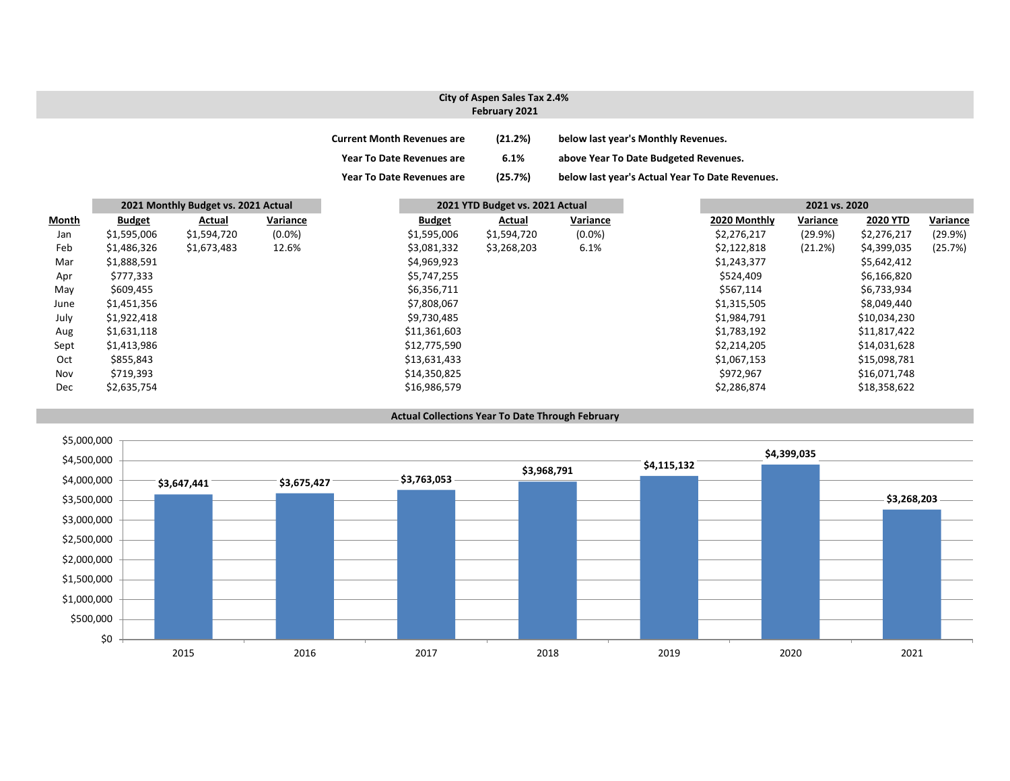### **City of Aspen Sales Tax 2.4% February 2021**

| <b>Current Month Revenues are</b> | (21.2%) | below last year's Monthly Revenues.             |
|-----------------------------------|---------|-------------------------------------------------|
| <b>Year To Date Revenues are</b>  | 6.1%    | above Year To Date Budgeted Revenues.           |
| <b>Year To Date Revenues are</b>  | (25.7%) | below last year's Actual Year To Date Revenues. |

|              |               | 2021 Monthly Budget vs. 2021 Actual |           |               | 2021 YTD Budget vs. 2021 Actual |           |              | 2021 vs. 2020 |                 |          |
|--------------|---------------|-------------------------------------|-----------|---------------|---------------------------------|-----------|--------------|---------------|-----------------|----------|
| <b>Month</b> | <b>Budget</b> | Actual                              | Variance  | <b>Budget</b> | Actual                          | Variance  | 2020 Monthly | Variance      | <b>2020 YTD</b> | Variance |
| Jan          | \$1,595,006   | \$1,594,720                         | $(0.0\%)$ | \$1,595,006   | \$1,594,720                     | $(0.0\%)$ | \$2,276,217  | (29.9%)       | \$2,276,217     | (29.9%)  |
| Feb          | \$1,486,326   | \$1,673,483                         | 12.6%     | \$3,081,332   | \$3,268,203                     | 6.1%      | \$2,122,818  | (21.2%)       | \$4,399,035     | (25.7%)  |
| Mar          | \$1,888,591   |                                     |           | \$4,969,923   |                                 |           | \$1,243,377  |               | \$5,642,412     |          |
| Apr          | \$777,333     |                                     |           | \$5,747,255   |                                 |           | \$524,409    |               | \$6,166,820     |          |
| May          | \$609,455     |                                     |           | \$6,356,711   |                                 |           | \$567,114    |               | \$6,733,934     |          |
| June         | \$1,451,356   |                                     |           | \$7,808,067   |                                 |           | \$1,315,505  |               | \$8,049,440     |          |
| July         | \$1,922,418   |                                     |           | \$9,730,485   |                                 |           | \$1,984,791  |               | \$10,034,230    |          |
| Aug          | \$1,631,118   |                                     |           | \$11,361,603  |                                 |           | \$1,783,192  |               | \$11,817,422    |          |
| Sept         | \$1,413,986   |                                     |           | \$12,775,590  |                                 |           | \$2,214,205  |               | \$14,031,628    |          |
| Oct          | \$855,843     |                                     |           | \$13,631,433  |                                 |           | \$1,067,153  |               | \$15,098,781    |          |
| Nov          | \$719,393     |                                     |           | \$14,350,825  |                                 |           | \$972,967    |               | \$16,071,748    |          |
| <b>Dec</b>   | \$2,635,754   |                                     |           | \$16,986,579  |                                 |           | \$2,286,874  |               | \$18,358,622    |          |

#### **Actual Collections Year To Date Through February**

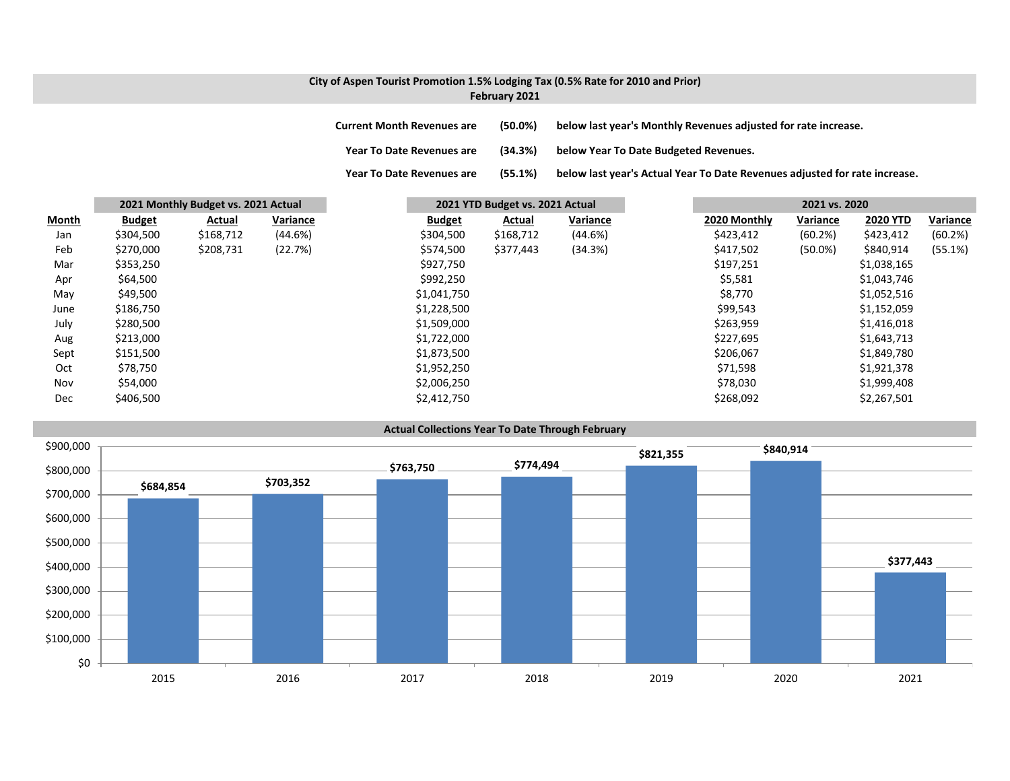### **City of Aspen Tourist Promotion 1.5% Lodging Tax (0.5% Rate for 2010 and Prior) February 2021**

**Current Month Revenues are (50.0%) below last year's Monthly Revenues adjusted for rate increase. Year ToDate Revenues are (34.3%) below Year To Date Budgeted Revenues.**

**Year To**(55.1%) below last year's Actual Year To Date Revenues adjusted for rate increase.

|       |               | 2021 Monthly Budget vs. 2021 Actual |          |               | 2021 YTD Budget vs. 2021 Actual |          |              | 2021 vs. 2020 |                 |          |
|-------|---------------|-------------------------------------|----------|---------------|---------------------------------|----------|--------------|---------------|-----------------|----------|
| Month | <b>Budget</b> | Actual                              | Variance | <b>Budget</b> | Actual                          | Variance | 2020 Monthly | Variance      | <b>2020 YTD</b> | Variance |
| Jan   | \$304,500     | \$168,712                           | (44.6%)  | \$304,500     | \$168,712                       | (44.6%)  | \$423,412    | (60.2%)       | \$423,412       | (60.2%)  |
| Feb   | \$270,000     | \$208,731                           | (22.7%)  | \$574,500     | \$377,443                       | (34.3%)  | \$417,502    | $(50.0\%)$    | \$840,914       | (55.1%)  |
| Mar   | \$353,250     |                                     |          | \$927,750     |                                 |          | \$197,251    |               | \$1,038,165     |          |
| Apr   | \$64,500      |                                     |          | \$992,250     |                                 |          | \$5,581      |               | \$1,043,746     |          |
| May   | \$49,500      |                                     |          | \$1,041,750   |                                 |          | \$8,770      |               | \$1,052,516     |          |
| June  | \$186,750     |                                     |          | \$1,228,500   |                                 |          | \$99,543     |               | \$1,152,059     |          |
| July  | \$280,500     |                                     |          | \$1,509,000   |                                 |          | \$263,959    |               | \$1,416,018     |          |
| Aug   | \$213,000     |                                     |          | \$1,722,000   |                                 |          | \$227,695    |               | \$1,643,713     |          |
| Sept  | \$151,500     |                                     |          | \$1,873,500   |                                 |          | \$206,067    |               | \$1,849,780     |          |
| Oct   | \$78,750      |                                     |          | \$1,952,250   |                                 |          | \$71,598     |               | \$1,921,378     |          |
| Nov   | \$54,000      |                                     |          | \$2,006,250   |                                 |          | \$78,030     |               | \$1,999,408     |          |
| Dec   | \$406,500     |                                     |          | \$2,412,750   |                                 |          | \$268,092    |               | \$2,267,501     |          |

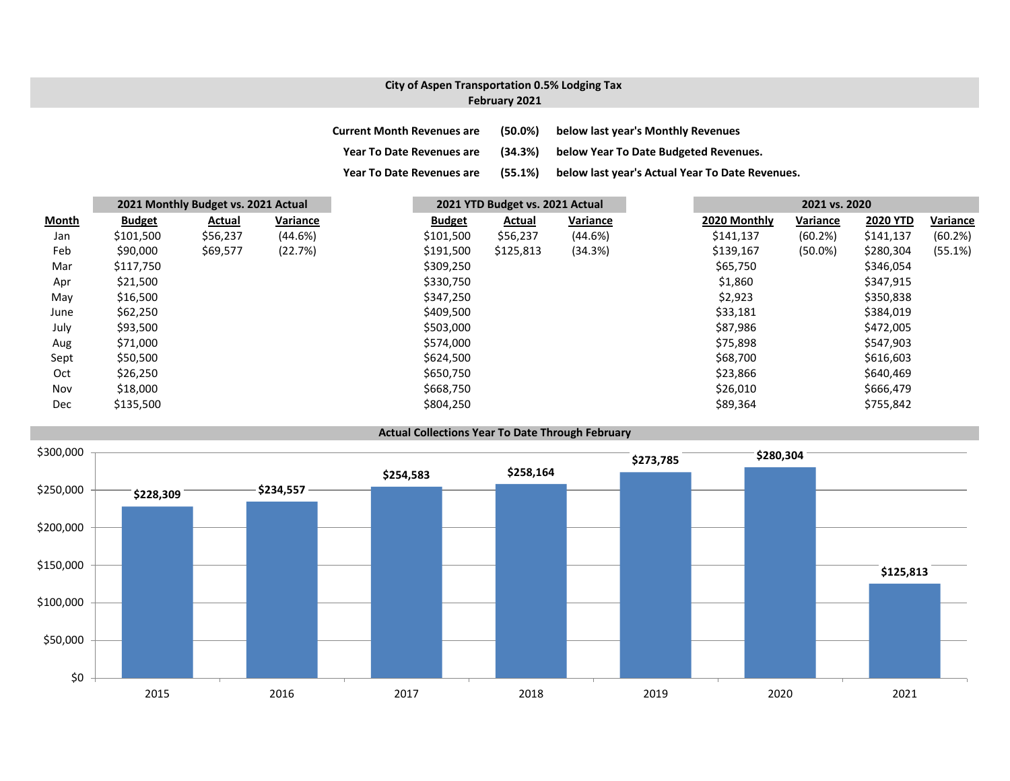# **City of Aspen Transportation 0.5% Lodging Tax February 2021**

| <b>Current Month Revenues are</b> | $(50.0\%)$ | below last year's Monthly Revenues              |
|-----------------------------------|------------|-------------------------------------------------|
| <b>Year To Date Revenues are</b>  | (34.3%)    | below Year To Date Budgeted Revenues.           |
| <b>Year To Date Revenues are</b>  | (55.1%)    | below last year's Actual Year To Date Revenues. |

|              |               | 2021 Monthly Budget vs. 2021 Actual |          |               | 2021 YTD Budget vs. 2021 Actual |          |              | 2021 vs. 2020 |                 |          |
|--------------|---------------|-------------------------------------|----------|---------------|---------------------------------|----------|--------------|---------------|-----------------|----------|
| <b>Month</b> | <b>Budget</b> | Actual                              | Variance | <b>Budget</b> | Actual                          | Variance | 2020 Monthly | Variance      | <b>2020 YTD</b> | Variance |
| Jan          | \$101,500     | \$56,237                            | (44.6%)  | \$101,500     | \$56,237                        | (44.6%)  | \$141,137    | (60.2%)       | \$141,137       | (60.2%)  |
| Feb          | \$90,000      | \$69,577                            | (22.7%)  | \$191,500     | \$125,813                       | (34.3%)  | \$139,167    | $(50.0\%)$    | \$280,304       | (55.1%)  |
| Mar          | \$117,750     |                                     |          | \$309,250     |                                 |          | \$65,750     |               | \$346,054       |          |
| Apr          | \$21,500      |                                     |          | \$330,750     |                                 |          | \$1,860      |               | \$347,915       |          |
| May          | \$16,500      |                                     |          | \$347,250     |                                 |          | \$2,923      |               | \$350,838       |          |
| June         | \$62,250      |                                     |          | \$409,500     |                                 |          | \$33,181     |               | \$384,019       |          |
| July         | \$93,500      |                                     |          | \$503,000     |                                 |          | \$87,986     |               | \$472,005       |          |
| Aug          | \$71,000      |                                     |          | \$574,000     |                                 |          | \$75,898     |               | \$547,903       |          |
| Sept         | \$50,500      |                                     |          | \$624,500     |                                 |          | \$68,700     |               | \$616,603       |          |
| Oct          | \$26,250      |                                     |          | \$650,750     |                                 |          | \$23,866     |               | \$640,469       |          |
| Nov          | \$18,000      |                                     |          | \$668,750     |                                 |          | \$26,010     |               | \$666,479       |          |
| Dec          | \$135,500     |                                     |          | \$804,250     |                                 |          | \$89,364     |               | \$755,842       |          |



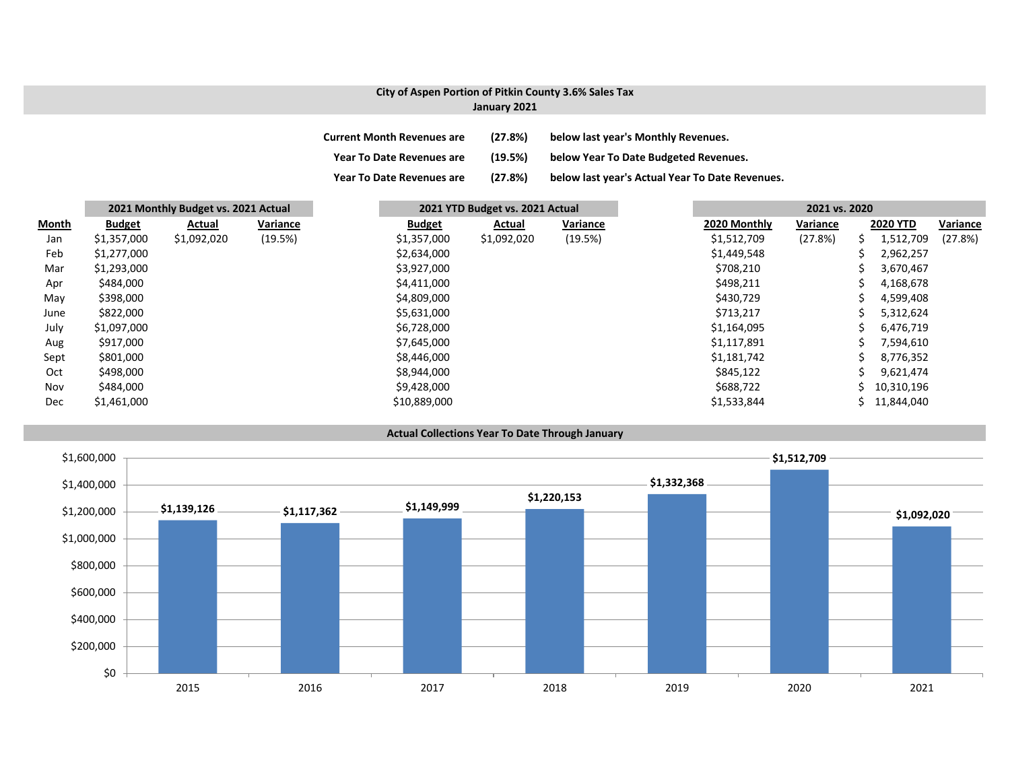# **City of Aspen Portion of Pitkin County 3.6% Sales Tax**

## **January 2021**

| <b>Current Month Revenues are</b> | (27.8%) | below last year's Monthly Revenues.             |
|-----------------------------------|---------|-------------------------------------------------|
| <b>Year To Date Revenues are</b>  | (19.5%) | below Year To Date Budgeted Revenues.           |
| <b>Year To Date Revenues are</b>  | (27.8%) | below last year's Actual Year To Date Revenues. |

|              |               | 2021 Monthly Budget vs. 2021 Actual |          |  | 2021 YTD Budget vs. 2021 Actual |             |          | 2021 vs. 2020 |              |          |  |                 |          |
|--------------|---------------|-------------------------------------|----------|--|---------------------------------|-------------|----------|---------------|--------------|----------|--|-----------------|----------|
| <b>Month</b> | <b>Budget</b> | Actual                              | Variance |  | <b>Budget</b>                   | Actual      | Variance |               | 2020 Monthly | Variance |  | <b>2020 YTD</b> | Variance |
| Jan          | \$1,357,000   | \$1,092,020                         | (19.5%)  |  | \$1,357,000                     | \$1,092,020 | (19.5%)  |               | \$1,512,709  | (27.8%)  |  | 1,512,709       | (27.8%)  |
| Feb          | \$1,277,000   |                                     |          |  | \$2,634,000                     |             |          |               | \$1,449,548  |          |  | 2,962,257       |          |
| Mar          | \$1,293,000   |                                     |          |  | \$3,927,000                     |             |          |               | \$708,210    |          |  | 3,670,467       |          |
| Apr          | \$484,000     |                                     |          |  | \$4,411,000                     |             |          |               | \$498,211    |          |  | 4,168,678       |          |
| May          | \$398,000     |                                     |          |  | \$4,809,000                     |             |          |               | \$430,729    |          |  | 4,599,408       |          |
| June         | \$822,000     |                                     |          |  | \$5,631,000                     |             |          |               | \$713,217    |          |  | 5,312,624       |          |
| July         | \$1,097,000   |                                     |          |  | \$6,728,000                     |             |          |               | \$1,164,095  |          |  | 6,476,719       |          |
| Aug          | \$917,000     |                                     |          |  | \$7,645,000                     |             |          |               | \$1,117,891  |          |  | 7,594,610       |          |
| Sept         | \$801,000     |                                     |          |  | \$8,446,000                     |             |          |               | \$1,181,742  |          |  | 8,776,352       |          |
| Oct          | \$498,000     |                                     |          |  | \$8,944,000                     |             |          |               | \$845,122    |          |  | 9,621,474       |          |
| Nov          | \$484,000     |                                     |          |  | \$9,428,000                     |             |          |               | \$688,722    |          |  | 10,310,196      |          |
| Dec          | \$1,461,000   |                                     |          |  | \$10,889,000                    |             |          |               | \$1,533,844  |          |  | 11,844,040      |          |

#### **Actual Collections Year To Date Through January**

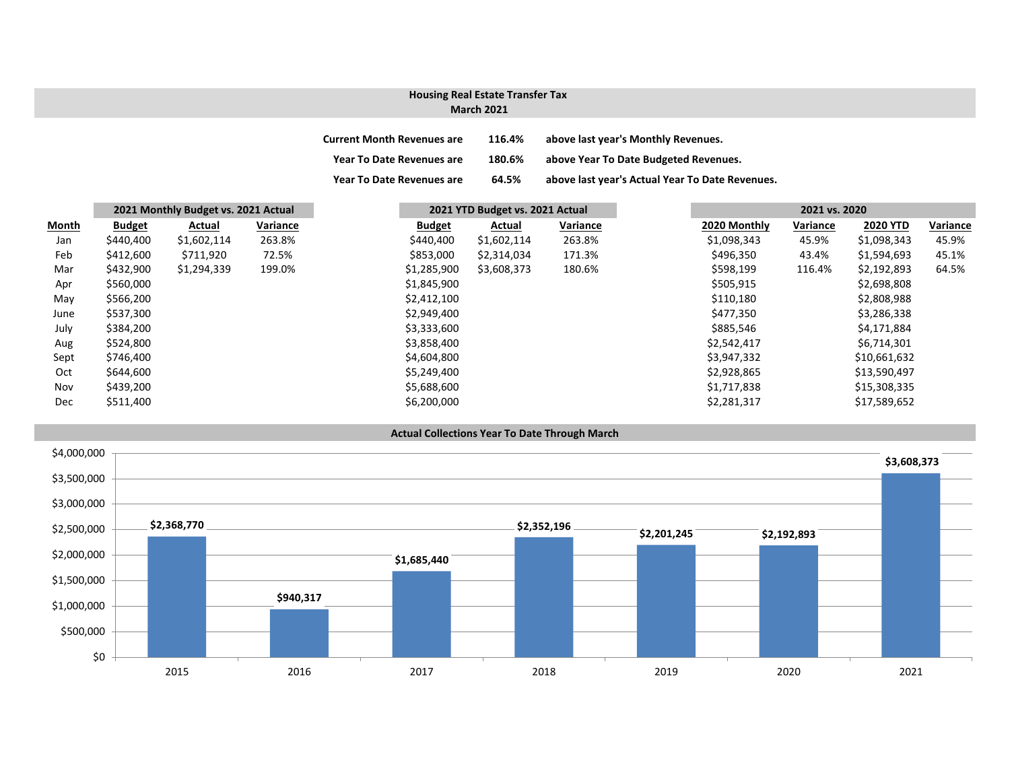### **March 2021 Housing Real Estate Transfer Tax**

| <b>Current Month Revenues are</b> | 116.4% | above last year's Monthly Revenues.             |
|-----------------------------------|--------|-------------------------------------------------|
| <b>Year To Date Revenues are</b>  | 180.6% | above Year To Date Budgeted Revenues.           |
| <b>Year To Date Revenues are</b>  | 64.5%  | above last year's Actual Year To Date Revenues. |

|       | 2021 Monthly Budget vs. 2021 Actual |             |          | 2021 YTD Budget vs. 2021 Actual |             |          | 2021 vs. 2020 |          |                 |  |
|-------|-------------------------------------|-------------|----------|---------------------------------|-------------|----------|---------------|----------|-----------------|--|
| Month | <b>Budget</b>                       | Actual      | Variance | <b>Budget</b>                   | Actual      | Variance | 2020 Monthly  | Variance | <b>2020 YTD</b> |  |
| Jan   | \$440,400                           | \$1,602,114 | 263.8%   | \$440,400                       | \$1,602,114 | 263.8%   | \$1,098,343   | 45.9%    | \$1,098,343     |  |
| Feb   | \$412,600                           | \$711,920   | 72.5%    | \$853,000                       | \$2,314,034 | 171.3%   | \$496,350     | 43.4%    | \$1,594,693     |  |
| Mar   | \$432,900                           | \$1,294,339 | 199.0%   | \$1,285,900                     | \$3,608,373 | 180.6%   | \$598,199     | 116.4%   | \$2,192,893     |  |
| Apr   | \$560,000                           |             |          | \$1,845,900                     |             |          | \$505,915     |          | \$2,698,808     |  |
| May   | \$566,200                           |             |          | \$2,412,100                     |             |          | \$110,180     |          | \$2,808,988     |  |
| June  | \$537,300                           |             |          | \$2,949,400                     |             |          | \$477,350     |          | \$3,286,338     |  |
| July  | \$384,200                           |             |          | \$3,333,600                     |             |          | \$885,546     |          | \$4,171,884     |  |
| Aug   | \$524,800                           |             |          | \$3,858,400                     |             |          | \$2,542,417   |          | \$6,714,301     |  |
| Sept  | \$746,400                           |             |          | \$4,604,800                     |             |          | \$3,947,332   |          | \$10,661,632    |  |
| Oct   | \$644,600                           |             |          | \$5,249,400                     |             |          | \$2,928,865   |          | \$13,590,497    |  |
| Nov   | \$439,200                           |             |          | \$5,688,600                     |             |          | \$1,717,838   |          | \$15,308,335    |  |
| Dec   | \$511,400                           |             |          | \$6,200,000                     |             |          | \$2,281,317   |          | \$17,589,652    |  |